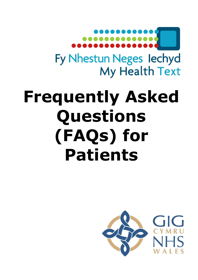

# **Frequently Asked Questions (FAQs) for Patients**

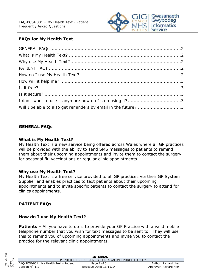

## **FAQs for My Health Text**

| Will I be able to also get reminders by email in the future? 3 |  |
|----------------------------------------------------------------|--|

#### <span id="page-1-1"></span><span id="page-1-0"></span>**GENERAL FAQs**

#### **What is My Health Text?**

My Health Text is a new service being offered across Wales where all GP practices will be provided with the ability to send SMS messages to patients to remind them about their upcoming appointments and invite them to contact the surgery for seasonal flu vaccinations or regular clinic appointments.

#### <span id="page-1-2"></span>**Why use My Health Text?**

My Health Text is a free service provided to all GP practices via their GP System Supplier and enables practices to text patients about their upcoming appointments and to invite specific patients to contact the surgery to attend for clinics appointments.

### <span id="page-1-4"></span><span id="page-1-3"></span>**PATIENT FAQs**

#### **How do I use My Health Text?**

**Patients** – All you have to do is to provide your GP Practice with a valid mobile telephone number that you wish for text messages to be sent to. They will use this to remind you of upcoming appointments and invite you to contact the practice for the relevant clinic appointments.